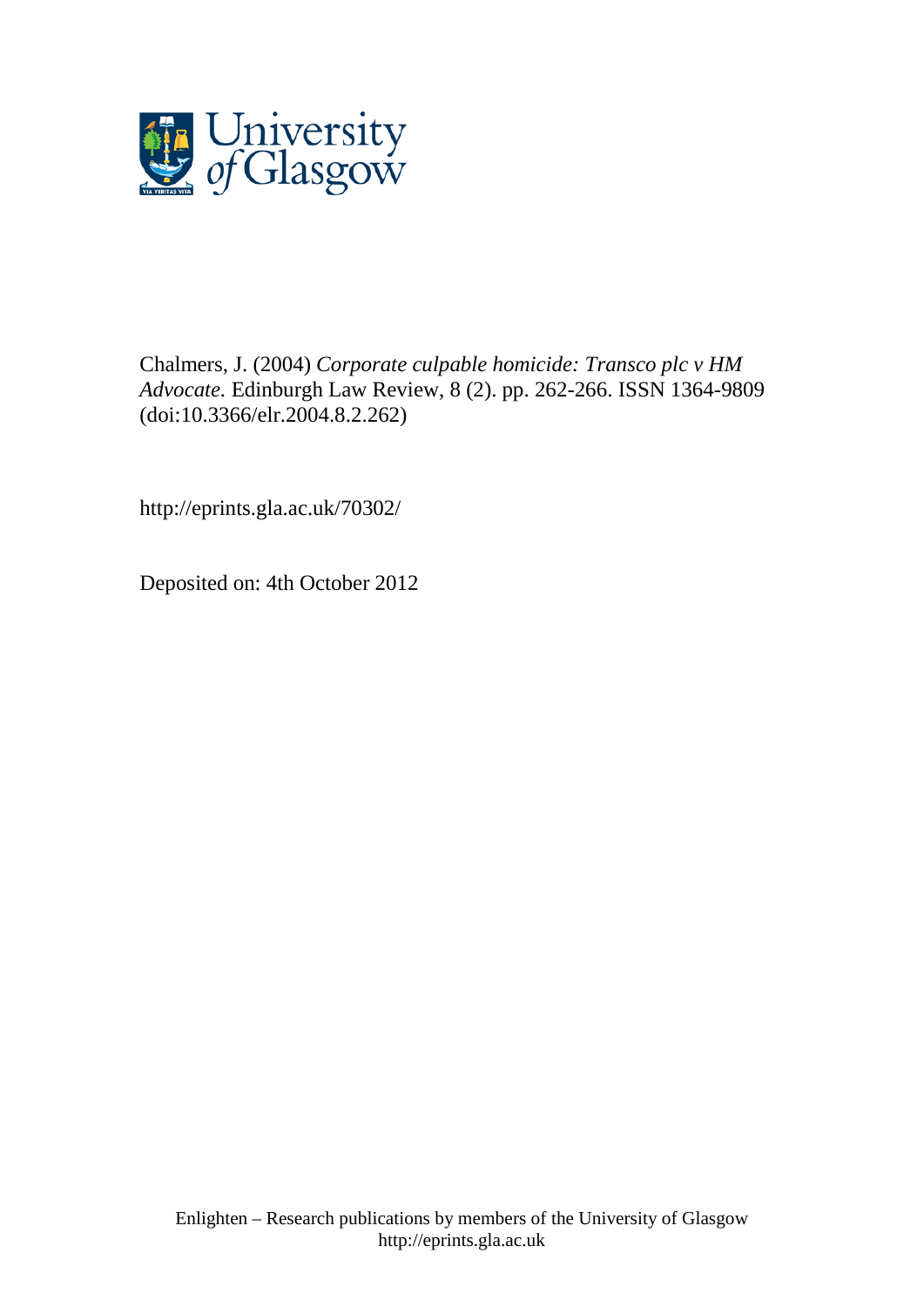

[Chalmers, J.](http://eprints.gla.ac.uk/view/author/28856.html) (2004) *Corporate culpable homicide: Transco plc v HM Advocate.* [Edinburgh Law Review,](http://eprints.gla.ac.uk/view/journal_volume/Edinburgh_Law_Review.html) 8 (2). pp. 262-266. ISSN 1364-9809 (doi[:10.3366/elr.2004.8.2.262\)](http://dx.doi.org/10.3366/elr.2004.8.2.262)

http://eprints.gla.ac.uk/70302/

Deposited on: 4th October 2012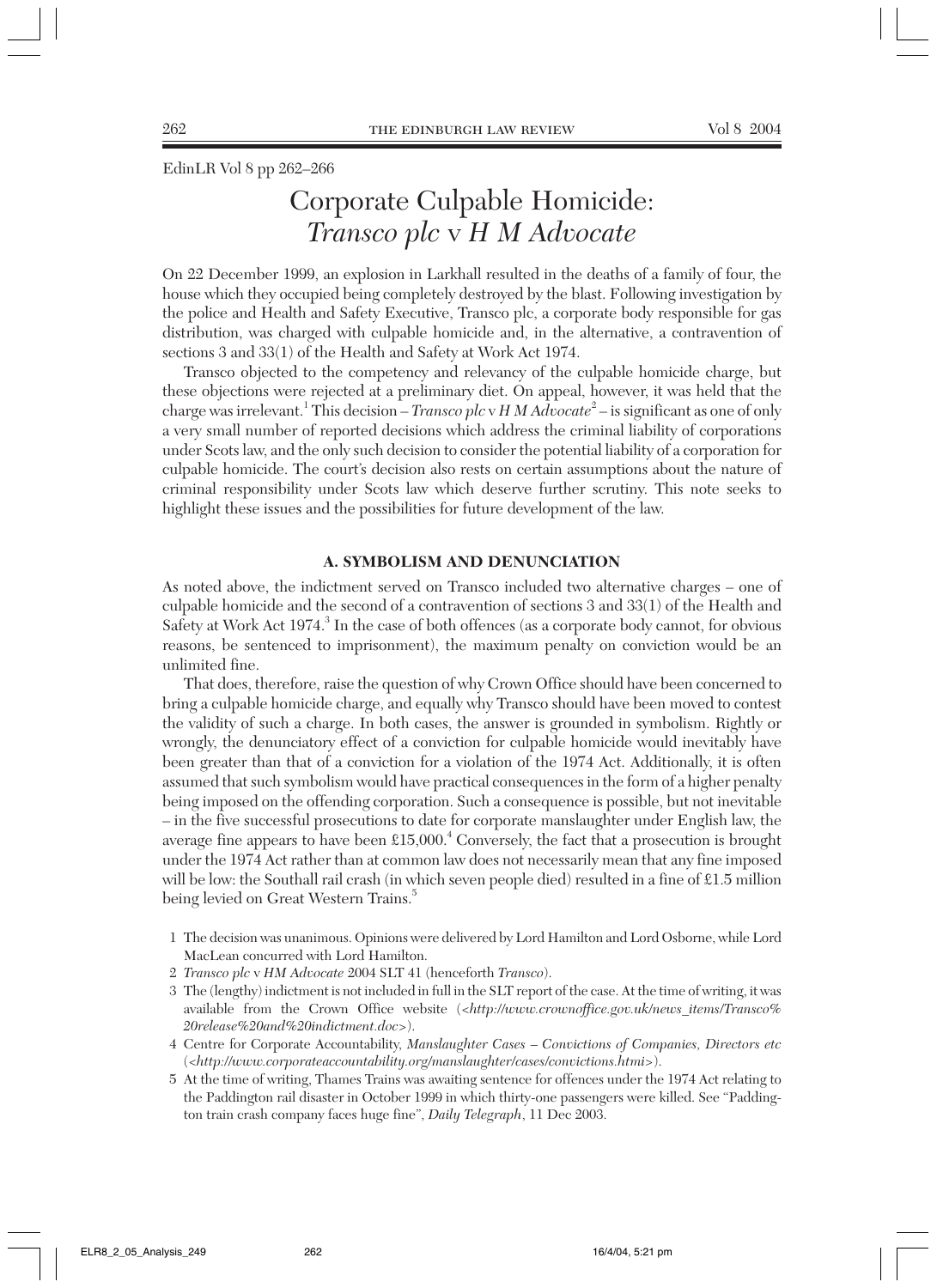EdinLR Vol 8 pp 262–266

# Corporate Culpable Homicide: *Transco plc* v *H M Advocate*

On 22 December 1999, an explosion in Larkhall resulted in the deaths of a family of four, the house which they occupied being completely destroyed by the blast. Following investigation by the police and Health and Safety Executive, Transco plc, a corporate body responsible for gas distribution, was charged with culpable homicide and, in the alternative, a contravention of sections 3 and 33(1) of the Health and Safety at Work Act 1974.

Transco objected to the competency and relevancy of the culpable homicide charge, but these objections were rejected at a preliminary diet. On appeal, however, it was held that the charge was irrelevant.<sup>1</sup> This decision – *Transco plc* v *H M Advocate*<sup>2</sup> – is significant as one of only a very small number of reported decisions which address the criminal liability of corporations under Scots law, and the only such decision to consider the potential liability of a corporation for culpable homicide. The court's decision also rests on certain assumptions about the nature of criminal responsibility under Scots law which deserve further scrutiny. This note seeks to highlight these issues and the possibilities for future development of the law.

### **A. SYMBOLISM AND DENUNCIATION**

As noted above, the indictment served on Transco included two alternative charges – one of culpable homicide and the second of a contravention of sections 3 and 33(1) of the Health and Safety at Work Act 1974.<sup>3</sup> In the case of both offences (as a corporate body cannot, for obvious reasons, be sentenced to imprisonment), the maximum penalty on conviction would be an unlimited fine.

That does, therefore, raise the question of why Crown Office should have been concerned to bring a culpable homicide charge, and equally why Transco should have been moved to contest the validity of such a charge. In both cases, the answer is grounded in symbolism. Rightly or wrongly, the denunciatory effect of a conviction for culpable homicide would inevitably have been greater than that of a conviction for a violation of the 1974 Act. Additionally, it is often assumed that such symbolism would have practical consequences in the form of a higher penalty being imposed on the offending corporation. Such a consequence is possible, but not inevitable – in the five successful prosecutions to date for corporate manslaughter under English law, the average fine appears to have been £15,000.<sup>4</sup> Conversely, the fact that a prosecution is brought under the 1974 Act rather than at common law does not necessarily mean that any fine imposed will be low: the Southall rail crash (in which seven people died) resulted in a fine of £1.5 million being levied on Great Western Trains.<sup>5</sup>

- 1 The decision was unanimous. Opinions were delivered by Lord Hamilton and Lord Osborne, while Lord MacLean concurred with Lord Hamilton.
- 2 *Transco plc* v *HM Advocate* 2004 SLT 41 (henceforth *Transco*).
- 3 The (lengthy) indictment is not included in full in the SLT report of the case. At the time of writing, it was available from the Crown Office website (<*http://www.crownoffice.gov.uk/news\_items/Transco% 20release%20and%20indictment.doc*>).
- 4 Centre for Corporate Accountability, *Manslaughter Cases Convictions of Companies, Directors etc* (<*http://www.corporateaccountability.org/manslaughter/cases/convictions.htmi>*).
- 5 At the time of writing, Thames Trains was awaiting sentence for offences under the 1974 Act relating to the Paddington rail disaster in October 1999 in which thirty-one passengers were killed. See "Paddington train crash company faces huge fine", *Daily Telegraph*, 11 Dec 2003.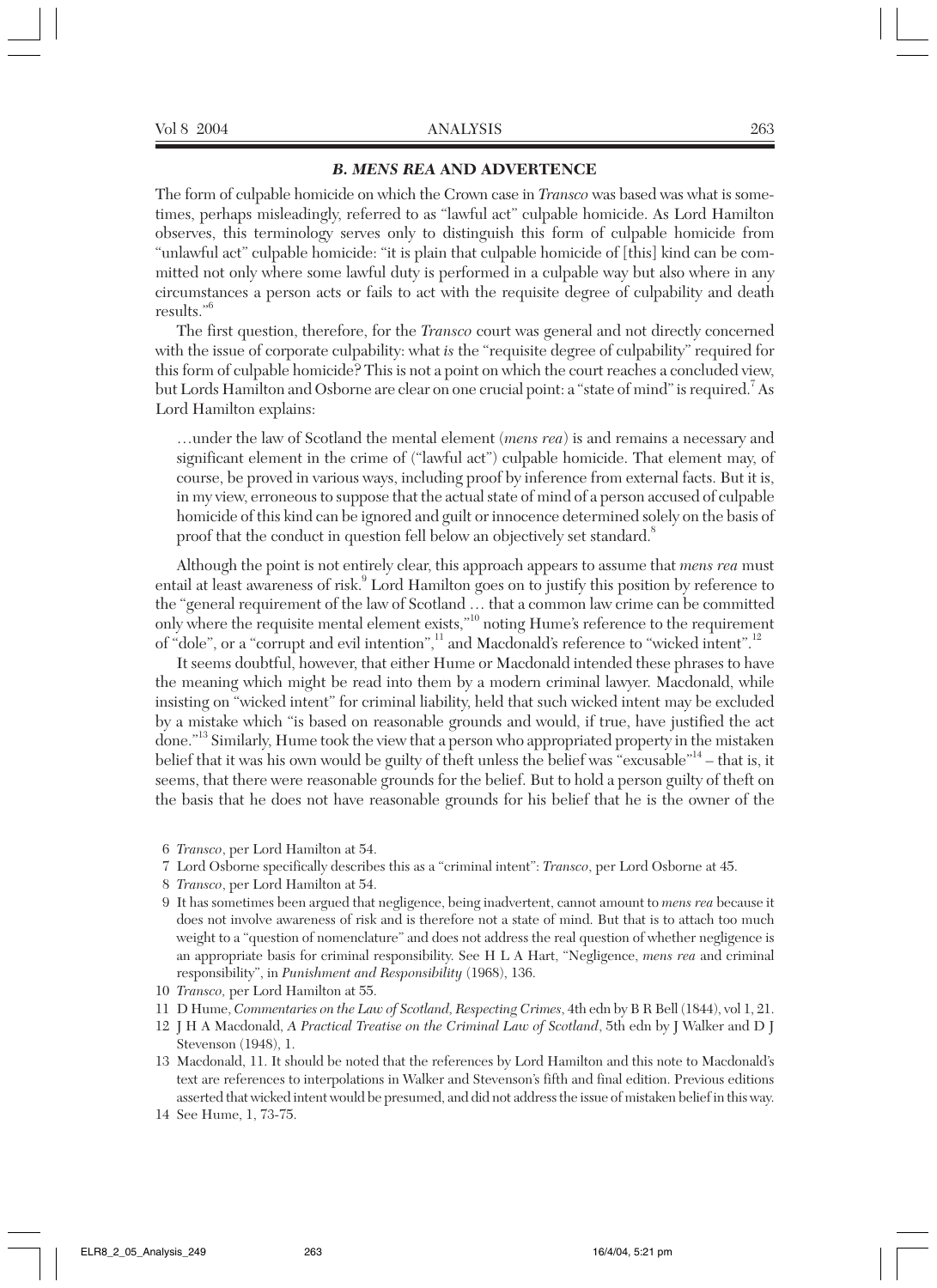## *B. MENS REA* **AND ADVERTENCE**

The form of culpable homicide on which the Crown case in *Transco* was based was what is sometimes, perhaps misleadingly, referred to as "lawful act" culpable homicide. As Lord Hamilton observes, this terminology serves only to distinguish this form of culpable homicide from "unlawful act" culpable homicide: "it is plain that culpable homicide of [this] kind can be committed not only where some lawful duty is performed in a culpable way but also where in any circumstances a person acts or fails to act with the requisite degree of culpability and death results."<sup>6</sup>

The first question, therefore, for the *Transco* court was general and not directly concerned with the issue of corporate culpability: what *is* the "requisite degree of culpability" required for this form of culpable homicide? This is not a point on which the court reaches a concluded view, but Lords Hamilton and Osborne are clear on one crucial point: a "state of mind" is required.  $\mathrm{^{7}As}$ Lord Hamilton explains:

…under the law of Scotland the mental element (*mens rea*) is and remains a necessary and significant element in the crime of ("lawful act") culpable homicide. That element may, of course, be proved in various ways, including proof by inference from external facts. But it is, in my view, erroneous to suppose that the actual state of mind of a person accused of culpable homicide of this kind can be ignored and guilt or innocence determined solely on the basis of proof that the conduct in question fell below an objectively set standard.<sup>8</sup>

Although the point is not entirely clear, this approach appears to assume that *mens rea* must entail at least awareness of risk.<sup>9</sup> Lord Hamilton goes on to justify this position by reference to the "general requirement of the law of Scotland … that a common law crime can be committed only where the requisite mental element exists,"<sup>10</sup> noting Hume's reference to the requirement of "dole", or a "corrupt and evil intention",<sup>11</sup> and Macdonald's reference to "wicked intent".<sup>12</sup>

It seems doubtful, however, that either Hume or Macdonald intended these phrases to have the meaning which might be read into them by a modern criminal lawyer. Macdonald, while insisting on "wicked intent" for criminal liability, held that such wicked intent may be excluded by a mistake which "is based on reasonable grounds and would, if true, have justified the act done."<sup>13</sup> Similarly, Hume took the view that a person who appropriated property in the mistaken belief that it was his own would be guilty of theft unless the belief was "excusable"<sup>14</sup> – that is, it seems, that there were reasonable grounds for the belief. But to hold a person guilty of theft on the basis that he does not have reasonable grounds for his belief that he is the owner of the

- 6 *Transco*, per Lord Hamilton at 54.
- 7 Lord Osborne specifically describes this as a "criminal intent": *Transco*, per Lord Osborne at 45.
- 8 *Transco*, per Lord Hamilton at 54.
- 9 It has sometimes been argued that negligence, being inadvertent, cannot amount to *mens rea* because it does not involve awareness of risk and is therefore not a state of mind. But that is to attach too much weight to a "question of nomenclature" and does not address the real question of whether negligence is an appropriate basis for criminal responsibility. See H L A Hart, "Negligence, *mens rea* and criminal responsibility", in *Punishment and Responsibility* (1968), 136.
- 10 *Transco,* per Lord Hamilton at 55.
- 11 D Hume, *Commentaries on the Law of Scotland, Respecting Crimes*, 4th edn by B R Bell (1844), vol 1, 21.
- 12 J H A Macdonald, *A Practical Treatise on the Criminal Law of Scotland*, 5th edn by J Walker and D J Stevenson (1948), 1.
- 13 Macdonald, 11. It should be noted that the references by Lord Hamilton and this note to Macdonald's text are references to interpolations in Walker and Stevenson's fifth and final edition. Previous editions asserted that wicked intent would be presumed, and did not address the issue of mistaken belief in this way.
- 14 See Hume, 1, 73-75.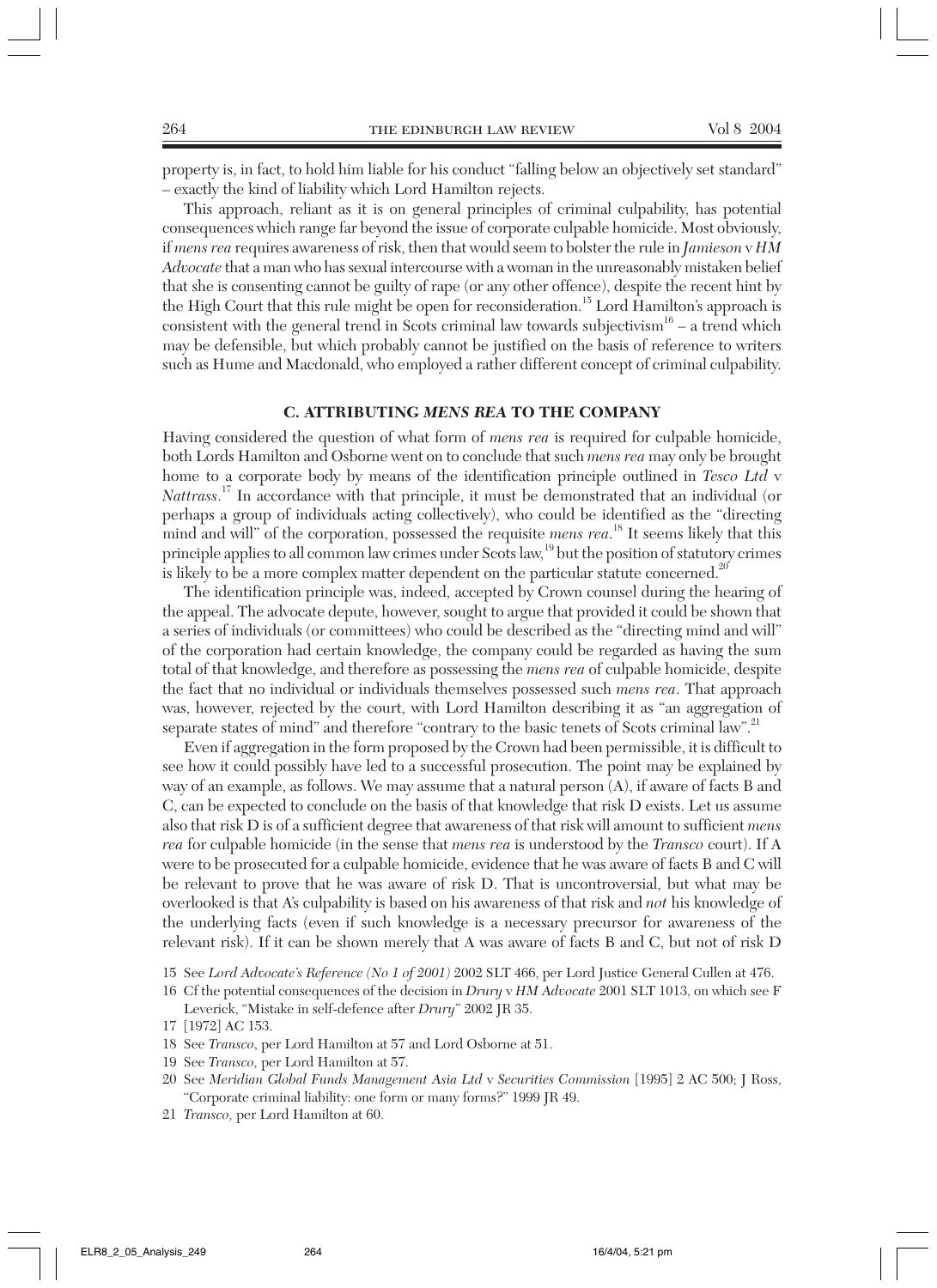property is, in fact, to hold him liable for his conduct "falling below an objectively set standard" – exactly the kind of liability which Lord Hamilton rejects.

This approach, reliant as it is on general principles of criminal culpability, has potential consequences which range far beyond the issue of corporate culpable homicide. Most obviously, if *mens rea* requires awareness of risk, then that would seem to bolster the rule in *Jamieson* v *HM Advocate* that a man who has sexual intercourse with a woman in the unreasonably mistaken belief that she is consenting cannot be guilty of rape (or any other offence), despite the recent hint by the High Court that this rule might be open for reconsideration.<sup>15</sup> Lord Hamilton's approach is consistent with the general trend in Scots criminal law towards subjectivism $16 - a$  trend which may be defensible, but which probably cannot be justified on the basis of reference to writers such as Hume and Macdonald, who employed a rather different concept of criminal culpability.

#### **C. ATTRIBUTING** *MENS REA* **TO THE COMPANY**

Having considered the question of what form of *mens rea* is required for culpable homicide, both Lords Hamilton and Osborne went on to conclude that such *mens rea* may only be brought home to a corporate body by means of the identification principle outlined in *Tesco Ltd* v *Nattrass*. <sup>17</sup> In accordance with that principle, it must be demonstrated that an individual (or perhaps a group of individuals acting collectively), who could be identified as the "directing mind and will" of the corporation, possessed the requisite *mens rea*. <sup>18</sup> It seems likely that this principle applies to all common law crimes under Scots law,<sup>19</sup> but the position of statutory crimes is likely to be a more complex matter dependent on the particular statute concerned.<sup>20</sup>

The identification principle was, indeed, accepted by Crown counsel during the hearing of the appeal. The advocate depute, however, sought to argue that provided it could be shown that a series of individuals (or committees) who could be described as the "directing mind and will" of the corporation had certain knowledge, the company could be regarded as having the sum total of that knowledge, and therefore as possessing the *mens rea* of culpable homicide, despite the fact that no individual or individuals themselves possessed such *mens rea*. That approach was, however, rejected by the court, with Lord Hamilton describing it as "an aggregation of separate states of mind" and therefore "contrary to the basic tenets of Scots criminal law".<sup>21</sup>

Even if aggregation in the form proposed by the Crown had been permissible, it is difficult to see how it could possibly have led to a successful prosecution. The point may be explained by way of an example, as follows. We may assume that a natural person (A), if aware of facts B and C, can be expected to conclude on the basis of that knowledge that risk D exists. Let us assume also that risk D is of a sufficient degree that awareness of that risk will amount to sufficient *mens rea* for culpable homicide (in the sense that *mens rea* is understood by the *Transco* court). If A were to be prosecuted for a culpable homicide, evidence that he was aware of facts B and C will be relevant to prove that he was aware of risk D. That is uncontroversial, but what may be overlooked is that A's culpability is based on his awareness of that risk and *not* his knowledge of the underlying facts (even if such knowledge is a necessary precursor for awareness of the relevant risk). If it can be shown merely that A was aware of facts B and C, but not of risk D

16 Cf the potential consequences of the decision in *Drury* v *HM Advocate* 2001 SLT 1013, on which see F Leverick, "Mistake in self-defence after *Drury*" 2002 JR 35.

- 18 See *Transco*, per Lord Hamilton at 57 and Lord Osborne at 51.
- 19 See *Transco,* per Lord Hamilton at 57.
- 20 See *Meridian Global Funds Management Asia Ltd* v *Securities Commission* [1995] 2 AC 500; J Ross, "Corporate criminal liability: one form or many forms?" 1999 JR 49.
- 21 *Transco,* per Lord Hamilton at 60.

<sup>15</sup> See *Lord Advocate's Reference (No 1 of 2001)* 2002 SLT 466, per Lord Justice General Cullen at 476.

<sup>17 [1972]</sup> AC 153.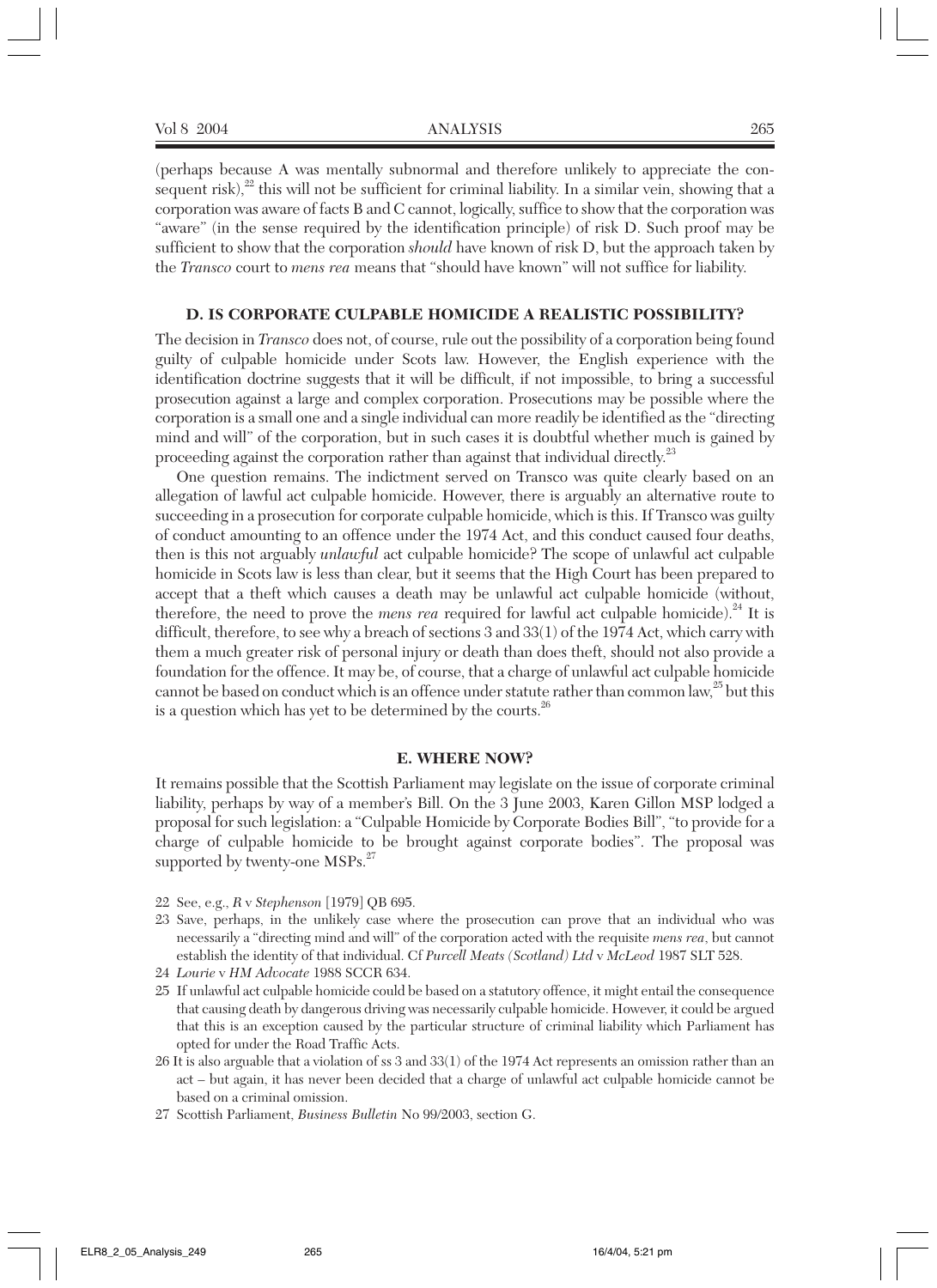(perhaps because A was mentally subnormal and therefore unlikely to appreciate the consequent risk), $^{22}$  this will not be sufficient for criminal liability. In a similar vein, showing that a corporation was aware of facts B and C cannot, logically, suffice to show that the corporation was "aware" (in the sense required by the identification principle) of risk D. Such proof may be sufficient to show that the corporation *should* have known of risk D, but the approach taken by the *Transco* court to *mens rea* means that "should have known" will not suffice for liability.

#### **D. IS CORPORATE CULPABLE HOMICIDE A REALISTIC POSSIBILITY?**

The decision in *Transco* does not, of course, rule out the possibility of a corporation being found guilty of culpable homicide under Scots law. However, the English experience with the identification doctrine suggests that it will be difficult, if not impossible, to bring a successful prosecution against a large and complex corporation. Prosecutions may be possible where the corporation is a small one and a single individual can more readily be identified as the "directing mind and will" of the corporation, but in such cases it is doubtful whether much is gained by proceeding against the corporation rather than against that individual directly.<sup>23</sup>

One question remains. The indictment served on Transco was quite clearly based on an allegation of lawful act culpable homicide. However, there is arguably an alternative route to succeeding in a prosecution for corporate culpable homicide, which is this. If Transco was guilty of conduct amounting to an offence under the 1974 Act, and this conduct caused four deaths, then is this not arguably *unlawful* act culpable homicide? The scope of unlawful act culpable homicide in Scots law is less than clear, but it seems that the High Court has been prepared to accept that a theft which causes a death may be unlawful act culpable homicide (without, therefore, the need to prove the *mens rea* required for lawful act culpable homicide).<sup>24</sup> It is difficult, therefore, to see why a breach of sections 3 and 33(1) of the 1974 Act, which carry with them a much greater risk of personal injury or death than does theft, should not also provide a foundation for the offence. It may be, of course, that a charge of unlawful act culpable homicide cannot be based on conduct which is an offence under statute rather than common law,<sup>25</sup> but this is a question which has yet to be determined by the courts. $^{26}$ 

#### **E. WHERE NOW?**

It remains possible that the Scottish Parliament may legislate on the issue of corporate criminal liability, perhaps by way of a member's Bill. On the 3 June 2003, Karen Gillon MSP lodged a proposal for such legislation: a "Culpable Homicide by Corporate Bodies Bill", "to provide for a charge of culpable homicide to be brought against corporate bodies". The proposal was supported by twenty-one MSPs.<sup>27</sup>

- 22 See, e.g., *R* v *Stephenson* [1979] QB 695.
- 23 Save, perhaps, in the unlikely case where the prosecution can prove that an individual who was necessarily a "directing mind and will" of the corporation acted with the requisite *mens rea*, but cannot establish the identity of that individual. Cf *Purcell Meats (Scotland) Ltd* v *McLeod* 1987 SLT 528.
- 24 *Lourie* v *HM Advocate* 1988 SCCR 634.
- 25 If unlawful act culpable homicide could be based on a statutory offence, it might entail the consequence that causing death by dangerous driving was necessarily culpable homicide. However, it could be argued that this is an exception caused by the particular structure of criminal liability which Parliament has opted for under the Road Traffic Acts.
- 26 It is also arguable that a violation of ss 3 and 33(1) of the 1974 Act represents an omission rather than an act – but again, it has never been decided that a charge of unlawful act culpable homicide cannot be based on a criminal omission.
- 27 Scottish Parliament, *Business Bulletin* No 99/2003, section G.